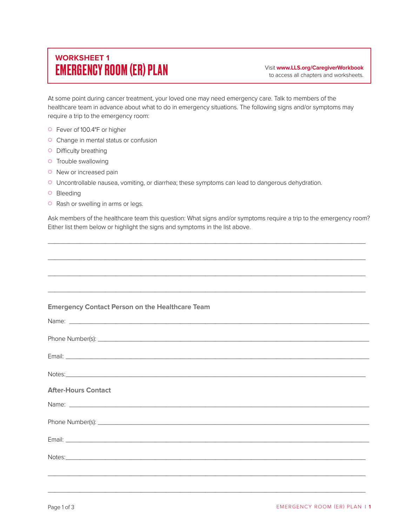# **WORKSHEET 1** EMERGENCY ROOM (ER) PLAN

Visit **www.LLS.org/CaregiverWorkbook** to access all chapters and worksheets.

At some point during cancer treatment, your loved one may need emergency care. Talk to members of the healthcare team in advance about what to do in emergency situations. The following signs and/or symptoms may require a trip to the emergency room:

- { Fever of 100.4°F or higher
- { Change in mental status or confusion
- { Difficulty breathing
- { Trouble swallowing
- o New or increased pain
- { Uncontrollable nausea, vomiting, or diarrhea; these symptoms can lead to dangerous dehydration.
- { Bleeding
- **O** Rash or swelling in arms or legs.

Ask members of the healthcare team this question: What signs and/or symptoms require a trip to the emergency room? Either list them below or highlight the signs and symptoms in the list above.

 $\mathcal{L}_\mathcal{L}$  , and the set of the set of the set of the set of the set of the set of the set of the set of the set of the set of the set of the set of the set of the set of the set of the set of the set of the set of th

| <b>Emergency Contact Person on the Healthcare Team</b>                                                                                                                                                                               |
|--------------------------------------------------------------------------------------------------------------------------------------------------------------------------------------------------------------------------------------|
| Name: <u>example and the contract of the contract of the contract of the contract of the contract of the contract of the contract of the contract of the contract of the contract of the contract of the contract of the contrac</u> |
|                                                                                                                                                                                                                                      |
| Email: <u>Communication of the Communication of the Communication of the Communication of the Communication</u>                                                                                                                      |
| Notes: <u>contract the contract of the contract of the contract of the contract of the contract of the contract of</u>                                                                                                               |
| <b>After-Hours Contact</b>                                                                                                                                                                                                           |
|                                                                                                                                                                                                                                      |
|                                                                                                                                                                                                                                      |
|                                                                                                                                                                                                                                      |
| Notes: <u>example and the contract of the contract of the contract of the contract of the contract of the contract of</u>                                                                                                            |
|                                                                                                                                                                                                                                      |
| <u> Alexandro de la contrada de la contrada de la contrada de la contrada de la contrada de la contrada de la con</u>                                                                                                                |

 $\mathcal{L}_\mathcal{L}$  , and the set of the set of the set of the set of the set of the set of the set of the set of the set of the set of the set of the set of the set of the set of the set of the set of the set of the set of th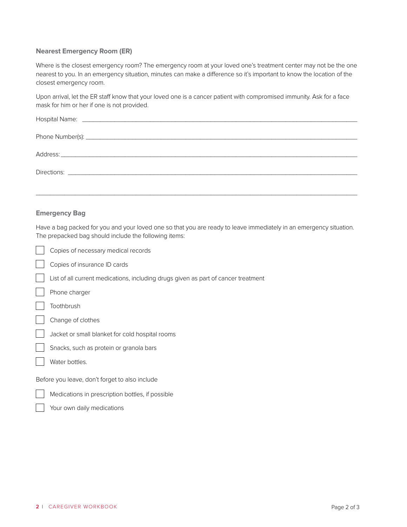# **Nearest Emergency Room (ER)**

Where is the closest emergency room? The emergency room at your loved one's treatment center may not be the one nearest to you. In an emergency situation, minutes can make a difference so it's important to know the location of the closest emergency room.

Upon arrival, let the ER staff know that your loved one is a cancer patient with compromised immunity. Ask for a face mask for him or her if one is not provided.

\_\_\_\_\_\_\_\_\_\_\_\_\_\_\_\_\_\_\_\_\_\_\_\_\_\_\_\_\_\_\_\_\_\_\_\_\_\_\_\_\_\_\_\_\_\_\_\_\_\_\_\_\_\_\_\_\_\_\_\_\_\_\_\_\_\_\_\_\_\_\_\_\_\_\_\_\_\_\_\_\_\_\_\_\_\_\_\_\_\_

## **Emergency Bag**

Have a bag packed for you and your loved one so that you are ready to leave immediately in an emergency situation. The prepacked bag should include the following items:

| Copies of necessary medical records                                                |
|------------------------------------------------------------------------------------|
| Copies of insurance ID cards                                                       |
| List of all current medications, including drugs given as part of cancer treatment |
| Phone charger                                                                      |
| Toothbrush                                                                         |
| Change of clothes                                                                  |
| Jacket or small blanket for cold hospital rooms                                    |
| Snacks, such as protein or granola bars                                            |
| Water bottles.                                                                     |
| Before you leave, don't forget to also include                                     |
| Medications in prescription bottles, if possible                                   |
| Your own daily medications                                                         |